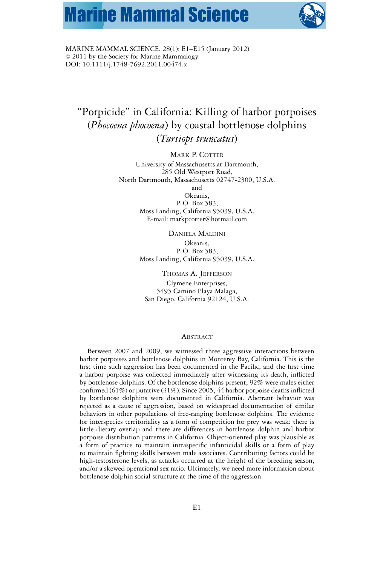# **Marine Mammal Science**



MARINE MAMMAL SCIENCE, 28(1): E1–E15 (January 2012)  $© 2011$  by the Society for Marine Mammalogy DOI: 10.1111/j.1748-7692.2011.00474.x

## "Porpicide" in California: Killing of harbor porpoises (*Phocoena phocoena*) by coastal bottlenose dolphins (*Tursiops truncatus*)

MARK P. COTTER

University of Massachusetts at Dartmouth, 285 Old Westport Road, North Dartmouth, Massachusetts 02747-2300, U.S.A. and Okeanis, P. O. Box 583, Moss Landing, California 95039, U.S.A. E-mail: markpcotter@hotmail.com

> DANIELA MALDINI Okeanis, P. O. Box 583, Moss Landing, California 95039, U.S.A.

THOMAS A. JEFFERSON Clymene Enterprises, 5495 Camino Playa Malaga, San Diego, California 92124, U.S.A.

#### **ABSTRACT**

Between 2007 and 2009, we witnessed three aggressive interactions between harbor porpoises and bottlenose dolphins in Monterey Bay, California. This is the first time such aggression has been documented in the Pacific, and the first time a harbor porpoise was collected immediately after witnessing its death, inflicted by bottlenose dolphins. Of the bottlenose dolphins present, 92% were males either confirmed (61%) or putative (31%). Since 2005, 44 harbor porpoise deaths inflicted by bottlenose dolphins were documented in California. Aberrant behavior was rejected as a cause of aggression, based on widespread documentation of similar behaviors in other populations of free-ranging bottlenose dolphins. The evidence for interspecies territoriality as a form of competition for prey was weak: there is little dietary overlap and there are differences in bottlenose dolphin and harbor porpoise distribution patterns in California. Object-oriented play was plausible as a form of practice to maintain intraspecific infanticidal skills or a form of play to maintain fighting skills between male associates. Contributing factors could be high-testosterone levels, as attacks occurred at the height of the breeding season, and/or a skewed operational sex ratio. Ultimately, we need more information about bottlenose dolphin social structure at the time of the aggression.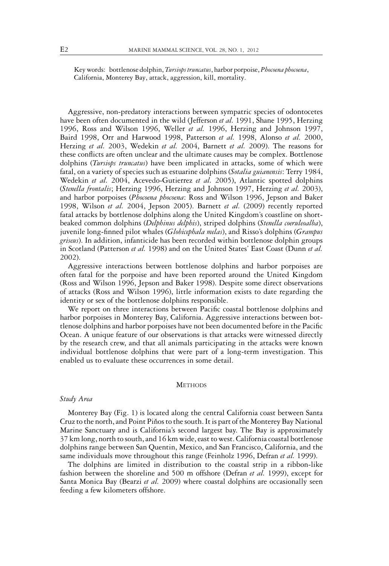Key words: bottlenose dolphin,*Tursiops truncatus*, harbor porpoise, *Phocoena phocoena*, California, Monterey Bay, attack, aggression, kill, mortality.

Aggressive, non-predatory interactions between sympatric species of odontocetes have been often documented in the wild (Jefferson *et al.* 1991, Shane 1995, Herzing 1996, Ross and Wilson 1996, Weller *et al.* 1996, Herzing and Johnson 1997, Baird 1998, Orr and Harwood 1998, Patterson *et al.* 1998, Alonso *et al.* 2000, Herzing *et al.* 2003, Wedekin *et al.* 2004, Barnett *et al.* 2009). The reasons for these conflicts are often unclear and the ultimate causes may be complex. Bottlenose dolphins (*Tursiops truncatus*) have been implicated in attacks, some of which were fatal, on a variety of species such as estuarine dolphins (*Sotalia guianensis*: Terry 1984, Wedekin *et al.* 2004, Acevedo-Gutierrez *et al.* 2005), Atlantic spotted dolphins (*Stenella frontalis*; Herzing 1996, Herzing and Johnson 1997, Herzing *et al.* 2003), and harbor porpoises (*Phocoena phocoena*: Ross and Wilson 1996, Jepson and Baker 1998, Wilson *et al.* 2004, Jepson 2005). Barnett *et al.* (2009) recently reported fatal attacks by bottlenose dolphins along the United Kingdom's coastline on shortbeaked common dolphins (*Delphinus delphis*), striped dolphins (*Stenella coeruleoalba*), juvenile long-finned pilot whales (*Globicephala melas*), and Risso's dolphins (*Grampus griseus*). In addition, infanticide has been recorded within bottlenose dolphin groups in Scotland (Patterson *et al.* 1998) and on the United States' East Coast (Dunn *et al.* 2002).

Aggressive interactions between bottlenose dolphins and harbor porpoises are often fatal for the porpoise and have been reported around the United Kingdom (Ross and Wilson 1996, Jepson and Baker 1998). Despite some direct observations of attacks (Ross and Wilson 1996), little information exists to date regarding the identity or sex of the bottlenose dolphins responsible.

We report on three interactions between Pacific coastal bottlenose dolphins and harbor porpoises in Monterey Bay, California. Aggressive interactions between bottlenose dolphins and harbor porpoises have not been documented before in the Pacific Ocean. A unique feature of our observations is that attacks were witnessed directly by the research crew, and that all animals participating in the attacks were known individual bottlenose dolphins that were part of a long-term investigation. This enabled us to evaluate these occurrences in some detail.

#### **METHODS**

#### *Study Area*

Monterey Bay (Fig. 1) is located along the central California coast between Santa Cruz to the north, and Point Piňos to the south. It is part of the Monterey Bay National Marine Sanctuary and is California's second largest bay. The Bay is approximately 37 km long, north to south, and 16 km wide, east to west. California coastal bottlenose dolphins range between San Quentin, Mexico, and San Francisco, California, and the same individuals move throughout this range (Feinholz 1996, Defran *et al.* 1999).

The dolphins are limited in distribution to the coastal strip in a ribbon-like fashion between the shoreline and 500 m offshore (Defran *et al.* 1999), except for Santa Monica Bay (Bearzi *et al.* 2009) where coastal dolphins are occasionally seen feeding a few kilometers offshore.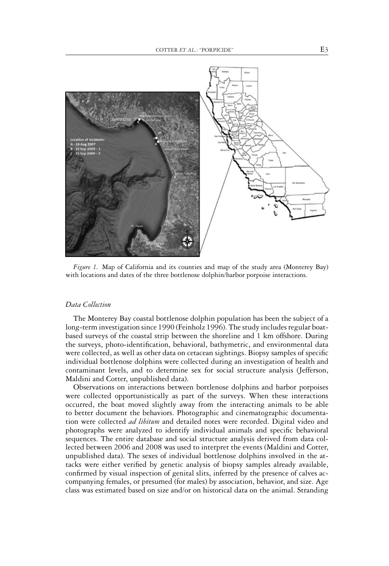

*Figure 1.* Map of California and its counties and map of the study area (Monterey Bay) with locations and dates of the three bottlenose dolphin/harbor porpoise interactions.

#### *Data Collection*

The Monterey Bay coastal bottlenose dolphin population has been the subject of a long-term investigation since 1990 (Feinholz 1996). The study includes regular boatbased surveys of the coastal strip between the shoreline and 1 km offshore. During the surveys, photo-identification, behavioral, bathymetric, and environmental data were collected, as well as other data on cetacean sightings. Biopsy samples of specific individual bottlenose dolphins were collected during an investigation of health and contaminant levels, and to determine sex for social structure analysis (Jefferson, Maldini and Cotter, unpublished data).

Observations on interactions between bottlenose dolphins and harbor porpoises were collected opportunistically as part of the surveys. When these interactions occurred, the boat moved slightly away from the interacting animals to be able to better document the behaviors. Photographic and cinematographic documentation were collected *ad libitum* and detailed notes were recorded. Digital video and photographs were analyzed to identify individual animals and specific behavioral sequences. The entire database and social structure analysis derived from data collected between 2006 and 2008 was used to interpret the events (Maldini and Cotter, unpublished data). The sexes of individual bottlenose dolphins involved in the attacks were either verified by genetic analysis of biopsy samples already available, confirmed by visual inspection of genital slits, inferred by the presence of calves accompanying females, or presumed (for males) by association, behavior, and size. Age class was estimated based on size and/or on historical data on the animal. Stranding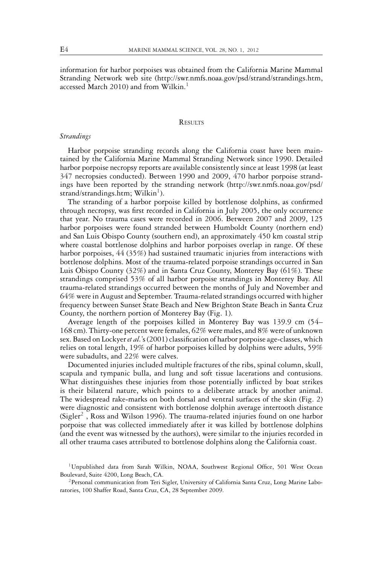information for harbor porpoises was obtained from the California Marine Mammal Stranding Network web site (http://swr.nmfs.noaa.gov/psd/strand/strandings.htm, accessed March 2010) and from Wilkin.<sup>1</sup>

#### **RESULTS**

#### *Strandings*

Harbor porpoise stranding records along the California coast have been maintained by the California Marine Mammal Stranding Network since 1990. Detailed harbor porpoise necropsy reports are available consistently since at least 1998 (at least 347 necropsies conducted). Between 1990 and 2009, 470 harbor porpoise strandings have been reported by the stranding network (http://swr.nmfs.noaa.gov/psd/ strand/strandings.htm;  $Wilkin<sup>1</sup>$ ).

The stranding of a harbor porpoise killed by bottlenose dolphins, as confirmed through necropsy, was first recorded in California in July 2005, the only occurrence that year. No trauma cases were recorded in 2006. Between 2007 and 2009, 125 harbor porpoises were found stranded between Humboldt County (northern end) and San Luis Obispo County (southern end), an approximately 450 km coastal strip where coastal bottlenose dolphins and harbor porpoises overlap in range. Of these harbor porpoises, 44 (35%) had sustained traumatic injuries from interactions with bottlenose dolphins. Most of the trauma-related porpoise strandings occurred in San Luis Obispo County (32%) and in Santa Cruz County, Monterey Bay (61%). These strandings comprised 53% of all harbor porpoise strandings in Monterey Bay. All trauma-related strandings occurred between the months of July and November and 64% were in August and September. Trauma-related strandings occurred with higher frequency between Sunset State Beach and New Brighton State Beach in Santa Cruz County, the northern portion of Monterey Bay (Fig. 1).

Average length of the porpoises killed in Monterey Bay was 139.9 cm (54– 168 cm). Thirty-one percent were females, 62% were males, and 8% were of unknown sex. Based on Lockyer*et al.*'s (2001) classification of harbor porpoise age-classes, which relies on total length, 19% of harbor porpoises killed by dolphins were adults, 59% were subadults, and 22% were calves.

Documented injuries included multiple fractures of the ribs, spinal column, skull, scapula and tympanic bulla, and lung and soft tissue lacerations and contusions. What distinguishes these injuries from those potentially inflicted by boat strikes is their bilateral nature, which points to a deliberate attack by another animal. The widespread rake-marks on both dorsal and ventral surfaces of the skin (Fig. 2) were diagnostic and consistent with bottlenose dolphin average intertooth distance (Sigler<sup>2</sup>, Ross and Wilson 1996). The trauma-related injuries found on one harbor porpoise that was collected immediately after it was killed by bottlenose dolphins (and the event was witnessed by the authors), were similar to the injuries recorded in all other trauma cases attributed to bottlenose dolphins along the California coast.

<sup>&</sup>lt;sup>1</sup>Unpublished data from Sarah Wilkin, NOAA, Southwest Regional Office, 501 West Ocean Boulevard, Suite 4200, Long Beach, CA.

<sup>&</sup>lt;sup>2</sup>Personal communication from Teri Sigler, University of California Santa Cruz, Long Marine Laboratories, 100 Shaffer Road, Santa Cruz, CA, 28 September 2009.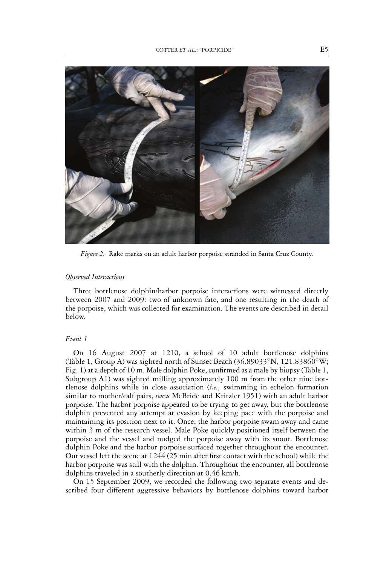

*Figure 2.* Rake marks on an adult harbor porpoise stranded in Santa Cruz County.

#### *Observed Interactions*

Three bottlenose dolphin/harbor porpoise interactions were witnessed directly between 2007 and 2009: two of unknown fate, and one resulting in the death of the porpoise, which was collected for examination. The events are described in detail below.

#### *Event 1*

On 16 August 2007 at 1210, a school of 10 adult bottlenose dolphins (Table 1, Group A) was sighted north of Sunset Beach (36.89033◦N, 121.83860◦W; Fig. 1) at a depth of 10 m. Male dolphin Poke, confirmed as a male by biopsy (Table 1, Subgroup A1) was sighted milling approximately 100 m from the other nine bottlenose dolphins while in close association (*i.e.,* swimming in echelon formation similar to mother/calf pairs, *sensu* McBride and Kritzler 1951) with an adult harbor porpoise. The harbor porpoise appeared to be trying to get away, but the bottlenose dolphin prevented any attempt at evasion by keeping pace with the porpoise and maintaining its position next to it. Once, the harbor porpoise swam away and came within 3 m of the research vessel. Male Poke quickly positioned itself between the porpoise and the vessel and nudged the porpoise away with its snout. Bottlenose dolphin Poke and the harbor porpoise surfaced together throughout the encounter. Our vessel left the scene at 1244 (25 min after first contact with the school) while the harbor porpoise was still with the dolphin. Throughout the encounter, all bottlenose dolphins traveled in a southerly direction at 0.46 km/h.

On 15 September 2009, we recorded the following two separate events and described four different aggressive behaviors by bottlenose dolphins toward harbor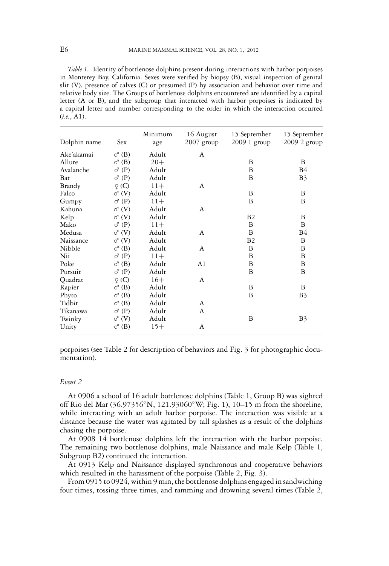*Table 1.* Identity of bottlenose dolphins present during interactions with harbor porpoises in Monterey Bay, California. Sexes were verified by biopsy (B), visual inspection of genital slit (V), presence of calves (C) or presumed (P) by association and behavior over time and relative body size. The Groups of bottlenose dolphins encountered are identified by a capital letter (A or B), and the subgroup that interacted with harbor porpoises is indicated by a capital letter and number corresponding to the order in which the interaction occurred (*i.e.*, A1).

| Dolphin name | Sex                     | Minimum<br>age | 16 August<br>$2007$ group | 15 September<br>$20091$ group | 15 September<br>2009 2 group |
|--------------|-------------------------|----------------|---------------------------|-------------------------------|------------------------------|
| Ake'akamai   | $\sigma$ <sup>(B)</sup> | Adult          | A                         |                               |                              |
| Allure       | $\sigma$ <sup>(B)</sup> | $20+$          |                           | B                             | B                            |
| Avalanche    | $\sigma$ <sup>(P)</sup> | Adult          |                           | B                             | B4                           |
| Bat          | $\sigma$ <sup>(P)</sup> | Adult          |                           | B                             | B <sub>3</sub>               |
| Brandy       | $\varphi$ (C)           | $11+$          | A                         |                               |                              |
| Falco        | $\sigma$ $(V)$          | Adult          |                           | B                             | B                            |
| Gumpy        | $\sigma$ <sup>(P)</sup> | $11+$          |                           | B                             | B                            |
| Kahuna       | $\sigma$ $(V)$          | Adult          | A                         |                               |                              |
| Kelp         | $\sigma$ $(V)$          | Adult          |                           | B <sub>2</sub>                | B                            |
| Mako         | $\sigma$ <sup>(P)</sup> | $11+$          |                           | B                             | B                            |
| Medusa       | $\sigma$ <sup>(V)</sup> | Adult          | A                         | B                             | <b>B</b> 4                   |
| Naissance    | $\sigma$ $(V)$          | Adult          |                           | <b>B2</b>                     | B                            |
| Nibble       | $\sigma$ <sup>(B)</sup> | Adult          | A                         | B                             | B                            |
| Nii          | $\sigma$ <sup>(P)</sup> | $11+$          |                           | B                             | B                            |
| Poke         | $\sigma$ <sup>(B)</sup> | Adult          | A1                        | B                             | B                            |
| Pursuit      | $\sigma$ <sup>(P)</sup> | Adult          |                           | B                             | B                            |
| Quadrat      | $\varphi$ (C)           | $16+$          | A                         |                               |                              |
| Rapier       | $\sigma$ <sup>(B)</sup> | Adult          |                           | B                             | B                            |
| Phyto        | $\sigma$ <sup>(B)</sup> | Adult          |                           | B                             | B <sub>3</sub>               |
| Tidbit       | $\sigma$ <sup>(B)</sup> | Adult          | A                         |                               |                              |
| Tikanawa     | $\sigma$ <sup>(P)</sup> | Adult          | A                         |                               |                              |
| Twinky       | $\sigma$ <sup>(V)</sup> | Adult          |                           | B                             | B <sub>3</sub>               |
| Unity        | $\sigma$ <sup>(B)</sup> | $15+$          | A                         |                               |                              |

porpoises (see Table 2 for description of behaviors and Fig. 3 for photographic documentation).

#### *Event 2*

At 0906 a school of 16 adult bottlenose dolphins (Table 1, Group B) was sighted off Rio del Mar (36.97356◦N, 121.93060◦W; Fig. 1), 10–15 m from the shoreline, while interacting with an adult harbor porpoise. The interaction was visible at a distance because the water was agitated by tall splashes as a result of the dolphins chasing the porpoise.

At 0908 14 bottlenose dolphins left the interaction with the harbor porpoise. The remaining two bottlenose dolphins, male Naissance and male Kelp (Table 1, Subgroup B2) continued the interaction.

At 0913 Kelp and Naissance displayed synchronous and cooperative behaviors which resulted in the harassment of the porpoise (Table 2, Fig. 3).

From 0915 to 0924, within 9 min, the bottlenose dolphins engaged in sandwiching four times, tossing three times, and ramming and drowning several times (Table 2,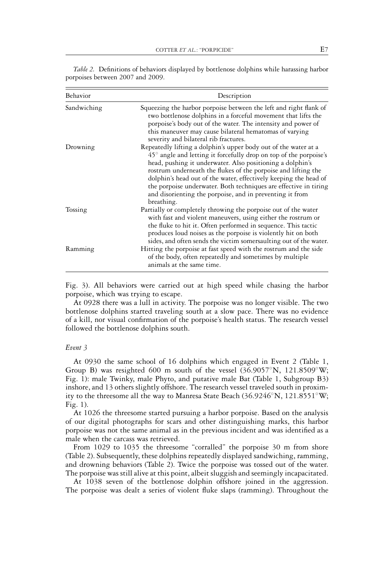| Behavior    | Description                                                                                                                                                                                                                                                                                                                                                                                                                                                                                 |
|-------------|---------------------------------------------------------------------------------------------------------------------------------------------------------------------------------------------------------------------------------------------------------------------------------------------------------------------------------------------------------------------------------------------------------------------------------------------------------------------------------------------|
| Sandwiching | Squeezing the harbor porpoise between the left and right flank of<br>two bottlenose dolphins in a forceful movement that lifts the<br>porpoise's body out of the water. The intensity and power of<br>this maneuver may cause bilateral hematomas of varying<br>severity and bilateral rib fractures.                                                                                                                                                                                       |
| Drowning    | Repeatedly lifting a dolphin's upper body out of the water at a<br>$45^\circ$ angle and letting it forcefully drop on top of the porpoise's<br>head, pushing it underwater. Also positioning a dolphin's<br>rostrum underneath the flukes of the porpoise and lifting the<br>dolphin's head out of the water, effectively keeping the head of<br>the porpoise underwater. Both techniques are effective in tiring<br>and disorienting the porpoise, and in preventing it from<br>breathing. |
| Tossing     | Partially or completely throwing the porpoise out of the water<br>with fast and violent maneuvers, using either the rostrum or<br>the fluke to hit it. Often performed in sequence. This tactic<br>produces loud noises as the porpoise is violently hit on both<br>sides, and often sends the victim somersaulting out of the water.                                                                                                                                                       |
| Ramming     | Hitting the porpoise at fast speed with the rostrum and the side<br>of the body, often repeatedly and sometimes by multiple<br>animals at the same time.                                                                                                                                                                                                                                                                                                                                    |

*Table 2.* Definitions of behaviors displayed by bottlenose dolphins while harassing harbor porpoises between 2007 and 2009.

Fig. 3). All behaviors were carried out at high speed while chasing the harbor porpoise, which was trying to escape.

At 0928 there was a lull in activity. The porpoise was no longer visible. The two bottlenose dolphins started traveling south at a slow pace. There was no evidence of a kill, nor visual confirmation of the porpoise's health status. The research vessel followed the bottlenose dolphins south.

#### *Event 3*

At 0930 the same school of 16 dolphins which engaged in Event 2 (Table 1, Group B) was resighted 600 m south of the vessel  $(36.9057°N, 121.8509°W;$ Fig. 1): male Twinky, male Phyto, and putative male Bat (Table 1, Subgroup B3) inshore, and 13 others slightly offshore. The research vessel traveled south in proximity to the threesome all the way to Manresa State Beach (36.9246<sup> $\circ$ </sup>N, 121.8551 $\circ$ <sup>W</sup>; Fig. 1).

At 1026 the threesome started pursuing a harbor porpoise. Based on the analysis of our digital photographs for scars and other distinguishing marks, this harbor porpoise was not the same animal as in the previous incident and was identified as a male when the carcass was retrieved.

From 1029 to 1035 the threesome "corralled" the porpoise 30 m from shore (Table 2). Subsequently, these dolphins repeatedly displayed sandwiching, ramming, and drowning behaviors (Table 2). Twice the porpoise was tossed out of the water. The porpoise was still alive at this point, albeit sluggish and seemingly incapacitated.

At 1038 seven of the bottlenose dolphin offshore joined in the aggression. The porpoise was dealt a series of violent fluke slaps (ramming). Throughout the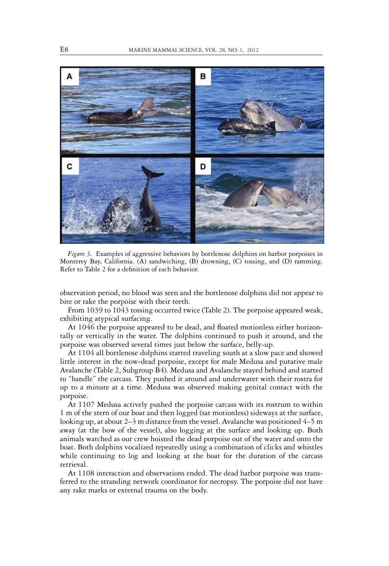

*Figure 3.* Examples of aggressive behaviors by bottlenose dolphins on harbor porpoises in Monterey Bay, California. (A) sandwiching, (B) drowning, (C) tossing, and (D) ramming. Refer to Table 2 for a definition of each behavior.

observation period, no blood was seen and the bottlenose dolphins did not appear to bite or rake the porpoise with their teeth.

From 1039 to 1043 tossing occurred twice (Table 2). The porpoise appeared weak, exhibiting atypical surfacing.

At 1046 the porpoise appeared to be dead, and floated motionless either horizontally or vertically in the water. The dolphins continued to push it around, and the porpoise was observed several times just below the surface, belly-up.

At 1104 all bottlenose dolphins started traveling south at a slow pace and showed little interest in the now-dead porpoise, except for male Medusa and putative male Avalanche (Table 2, Subgroup B4). Medusa and Avalanche stayed behind and started to "handle" the carcass. They pushed it around and underwater with their rostra for up to a minute at a time. Medusa was observed making genital contact with the porpoise.

At 1107 Medusa actively pushed the porpoise carcass with its rostrum to within 1 m of the stern of our boat and then logged (sat motionless) sideways at the surface, looking up, at about 2–3 m distance from the vessel. Avalanche was positioned 4–5 m away (at the bow of the vessel), also logging at the surface and looking up. Both animals watched as our crew hoisted the dead porpoise out of the water and onto the boat. Both dolphins vocalized repeatedly using a combination of clicks and whistles while continuing to log and looking at the boat for the duration of the carcass retrieval.

At 1108 interaction and observations ended. The dead harbor porpoise was transferred to the stranding network coordinator for necropsy. The porpoise did not have any rake marks or external trauma on the body.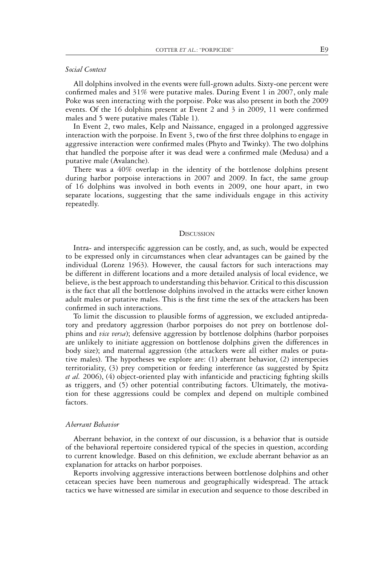#### *Social Context*

All dolphins involved in the events were full-grown adults. Sixty-one percent were confirmed males and 31% were putative males. During Event 1 in 2007, only male Poke was seen interacting with the porpoise. Poke was also present in both the 2009 events. Of the 16 dolphins present at Event 2 and 3 in 2009, 11 were confirmed males and 5 were putative males (Table 1).

In Event 2, two males, Kelp and Naissance, engaged in a prolonged aggressive interaction with the porpoise. In Event 3, two of the first three dolphins to engage in aggressive interaction were confirmed males (Phyto and Twinky). The two dolphins that handled the porpoise after it was dead were a confirmed male (Medusa) and a putative male (Avalanche).

There was a 40% overlap in the identity of the bottlenose dolphins present during harbor porpoise interactions in 2007 and 2009. In fact, the same group of 16 dolphins was involved in both events in 2009, one hour apart, in two separate locations, suggesting that the same individuals engage in this activity repeatedly.

#### **DISCUSSION**

Intra- and interspecific aggression can be costly, and, as such, would be expected to be expressed only in circumstances when clear advantages can be gained by the individual (Lorenz 1963). However, the causal factors for such interactions may be different in different locations and a more detailed analysis of local evidence, we believe, is the best approach to understanding this behavior. Critical to this discussion is the fact that all the bottlenose dolphins involved in the attacks were either known adult males or putative males. This is the first time the sex of the attackers has been confirmed in such interactions.

To limit the discussion to plausible forms of aggression, we excluded antipredatory and predatory aggression (harbor porpoises do not prey on bottlenose dolphins and *vice versa*); defensive aggression by bottlenose dolphins (harbor porpoises are unlikely to initiate aggression on bottlenose dolphins given the differences in body size); and maternal aggression (the attackers were all either males or putative males). The hypotheses we explore are: (1) aberrant behavior, (2) interspecies territoriality, (3) prey competition or feeding interference (as suggested by Spitz *et al.* 2006), (4) object-oriented play with infanticide and practicing fighting skills as triggers, and (5) other potential contributing factors. Ultimately, the motivation for these aggressions could be complex and depend on multiple combined factors.

#### *Aberrant Behavior*

Aberrant behavior, in the context of our discussion, is a behavior that is outside of the behavioral repertoire considered typical of the species in question, according to current knowledge. Based on this definition, we exclude aberrant behavior as an explanation for attacks on harbor porpoises.

Reports involving aggressive interactions between bottlenose dolphins and other cetacean species have been numerous and geographically widespread. The attack tactics we have witnessed are similar in execution and sequence to those described in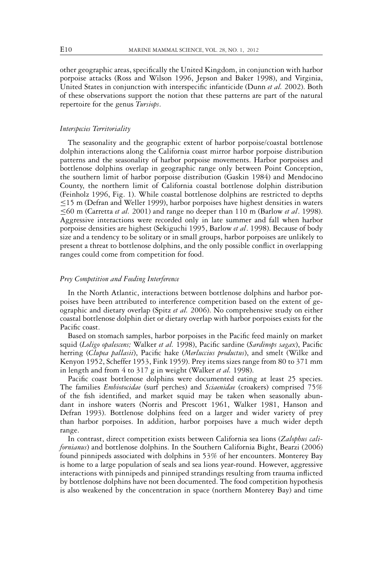other geographic areas, specifically the United Kingdom, in conjunction with harbor porpoise attacks (Ross and Wilson 1996, Jepson and Baker 1998), and Virginia, United States in conjunction with interspecific infanticide (Dunn *et al.* 2002). Both of these observations support the notion that these patterns are part of the natural repertoire for the genus *Tursiops*.

#### *Interspecies Territoriality*

The seasonality and the geographic extent of harbor porpoise/coastal bottlenose dolphin interactions along the California coast mirror harbor porpoise distribution patterns and the seasonality of harbor porpoise movements. Harbor porpoises and bottlenose dolphins overlap in geographic range only between Point Conception, the southern limit of harbor porpoise distribution (Gaskin 1984) and Mendocino County, the northern limit of California coastal bottlenose dolphin distribution (Feinholz 1996, Fig. 1). While coastal bottlenose dolphins are restricted to depths ≤15 m (Defran and Weller 1999), harbor porpoises have highest densities in waters ≤60 m (Carretta *et al.* 2001) and range no deeper than 110 m (Barlow *et al*. 1998). Aggressive interactions were recorded only in late summer and fall when harbor porpoise densities are highest (Sekiguchi 1995, Barlow *et al*. 1998). Because of body size and a tendency to be solitary or in small groups, harbor porpoises are unlikely to present a threat to bottlenose dolphins, and the only possible conflict in overlapping ranges could come from competition for food.

#### *Prey Competition and Feeding Interference*

In the North Atlantic, interactions between bottlenose dolphins and harbor porpoises have been attributed to interference competition based on the extent of geographic and dietary overlap (Spitz *et al.* 2006). No comprehensive study on either coastal bottlenose dolphin diet or dietary overlap with harbor porpoises exists for the Pacific coast.

Based on stomach samples, harbor porpoises in the Pacific feed mainly on market squid (*Loligo opalescens;* Walker *et al.* 1998), Pacific sardine (*Sardinops sagax*), Pacific herring (*Clupea pallasii*), Pacific hake (*Merluccius productus*), and smelt (Wilke and Kenyon 1952, Scheffer 1953, Fink 1959). Prey items sizes range from 80 to 371 mm in length and from 4 to 317 g in weight (Walker *et al.* 1998).

Pacific coast bottlenose dolphins were documented eating at least 25 species. The families *Embiotocidae* (surf perches) and *Sciaenidae* (croakers) comprised 75% of the fish identified, and market squid may be taken when seasonally abundant in inshore waters (Norris and Prescott 1961, Walker 1981, Hanson and Defran 1993). Bottlenose dolphins feed on a larger and wider variety of prey than harbor porpoises. In addition, harbor porpoises have a much wider depth range.

In contrast, direct competition exists between California sea lions (*Zalophus californianus*) and bottlenose dolphins. In the Southern California Bight, Bearzi (2006) found pinnipeds associated with dolphins in 53% of her encounters. Monterey Bay is home to a large population of seals and sea lions year-round. However, aggressive interactions with pinnipeds and pinniped strandings resulting from trauma inflicted by bottlenose dolphins have not been documented. The food competition hypothesis is also weakened by the concentration in space (northern Monterey Bay) and time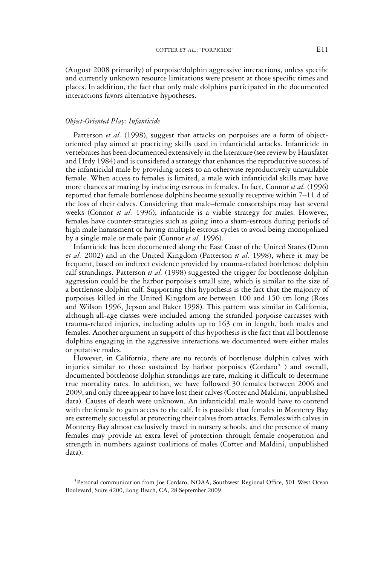(August 2008 primarily) of porpoise/dolphin aggressive interactions, unless specific and currently unknown resource limitations were present at those specific times and places. In addition, the fact that only male dolphins participated in the documented interactions favors alternative hypotheses.

### *Object-Oriented Play: Infanticide*

Patterson *et al.* (1998), suggest that attacks on porpoises are a form of objectoriented play aimed at practicing skills used in infanticidal attacks. Infanticide in vertebrates has been documented extensively in the literature (see review by Hausfater and Hrdy 1984) and is considered a strategy that enhances the reproductive success of the infanticidal male by providing access to an otherwise reproductively unavailable female. When access to females is limited, a male with infanticidal skills may have more chances at mating by inducing estrous in females. In fact, Connor *et al.* (1996) reported that female bottlenose dolphins became sexually receptive within 7–11 d of the loss of their calves. Considering that male–female consortships may last several weeks (Connor *et al.* 1996), infanticide is a viable strategy for males. However, females have counter-strategies such as going into a sham-estrous during periods of high male harassment or having multiple estrous cycles to avoid being monopolized by a single male or male pair (Connor *et al.* 1996).

Infanticide has been documented along the East Coast of the United States (Dunn e*t al.* 2002) and in the United Kingdom (Patterson *et al.* 1998), where it may be frequent, based on indirect evidence provided by trauma-related bottlenose dolphin calf strandings. Patterson *et al.* (1998) suggested the trigger for bottlenose dolphin aggression could be the harbor porpoise's small size, which is similar to the size of a bottlenose dolphin calf. Supporting this hypothesis is the fact that the majority of porpoises killed in the United Kingdom are between 100 and 150 cm long (Ross and Wilson 1996, Jepson and Baker 1998). This pattern was similar in California, although all-age classes were included among the stranded porpoise carcasses with trauma-related injuries, including adults up to 163 cm in length, both males and females. Another argument in support of this hypothesis is the fact that all bottlenose dolphins engaging in the aggressive interactions we documented were either males or putative males.

However, in California, there are no records of bottlenose dolphin calves with injuries similar to those sustained by harbor porpoises (Cordaro<sup>3</sup>) and overall, documented bottlenose dolphin strandings are rare, making it difficult to determine true mortality rates. In addition, we have followed 30 females between 2006 and 2009, and only three appear to have lost their calves (Cotter and Maldini, unpublished data). Causes of death were unknown. An infanticidal male would have to contend with the female to gain access to the calf. It is possible that females in Monterey Bay are extremely successful at protecting their calves from attacks. Females with calves in Monterey Bay almost exclusively travel in nursery schools, and the presence of many females may provide an extra level of protection through female cooperation and strength in numbers against coalitions of males (Cotter and Maldini, unpublished data).

<sup>&</sup>lt;sup>3</sup> Personal communication from Joe Cordaro, NOAA, Southwest Regional Office, 501 West Ocean Boulevard, Suite 4200, Long Beach, CA, 28 September 2009.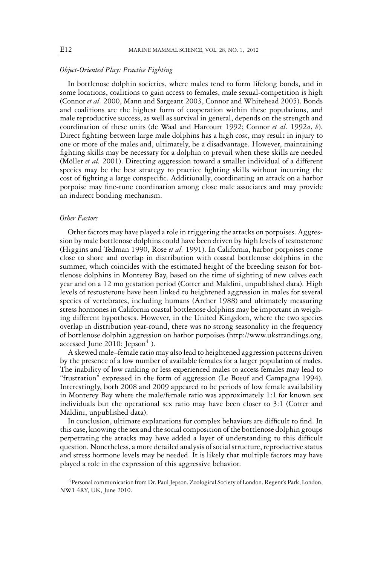#### *Object-Oriented Play: Practice Fighting*

In bottlenose dolphin societies, where males tend to form lifelong bonds, and in some locations, coalitions to gain access to females, male sexual-competition is high (Connor *et al.* 2000, Mann and Sargeant 2003, Connor and Whitehead 2005). Bonds and coalitions are the highest form of cooperation within these populations, and male reproductive success, as well as survival in general, depends on the strength and coordination of these units (de Waal and Harcourt 1992; Connor *et al.* 1992*a*, *b*). Direct fighting between large male dolphins has a high cost, may result in injury to one or more of the males and, ultimately, be a disadvantage. However, maintaining fighting skills may be necessary for a dolphin to prevail when these skills are needed (Möller *et al.* 2001). Directing aggression toward a smaller individual of a different species may be the best strategy to practice fighting skills without incurring the cost of fighting a large conspecific. Additionally, coordinating an attack on a harbor porpoise may fine-tune coordination among close male associates and may provide an indirect bonding mechanism.

#### *Other Factors*

Other factors may have played a role in triggering the attacks on porpoises. Aggression by male bottlenose dolphins could have been driven by high levels of testosterone (Higgins and Tedman 1990, Rose *et al.* 1991). In California, harbor porpoises come close to shore and overlap in distribution with coastal bottlenose dolphins in the summer, which coincides with the estimated height of the breeding season for bottlenose dolphins in Monterey Bay, based on the time of sighting of new calves each year and on a 12 mo gestation period (Cotter and Maldini, unpublished data). High levels of testosterone have been linked to heightened aggression in males for several species of vertebrates, including humans (Archer 1988) and ultimately measuring stress hormones in California coastal bottlenose dolphins may be important in weighing different hypotheses. However, in the United Kingdom, where the two species overlap in distribution year-round, there was no strong seasonality in the frequency of bottlenose dolphin aggression on harbor porpoises (http://www.ukstrandings.org, accessed June 2010; Jepson $4$ ).

A skewed male–female ratio may also lead to heightened aggression patterns driven by the presence of a low number of available females for a larger population of males. The inability of low ranking or less experienced males to access females may lead to "frustration" expressed in the form of aggression (Le Boeuf and Campagna 1994). Interestingly, both 2008 and 2009 appeared to be periods of low female availability in Monterey Bay where the male/female ratio was approximately 1:1 for known sex individuals but the operational sex ratio may have been closer to 3:1 (Cotter and Maldini, unpublished data).

In conclusion, ultimate explanations for complex behaviors are difficult to find. In this case, knowing the sex and the social composition of the bottlenose dolphin groups perpetrating the attacks may have added a layer of understanding to this difficult question. Nonetheless, a more detailed analysis of social structure, reproductive status and stress hormone levels may be needed. It is likely that multiple factors may have played a role in the expression of this aggressive behavior.

<sup>4</sup> Personal communication from Dr. Paul Jepson, Zoological Society of London, Regent's Park, London, NW1 4RY, UK, June 2010.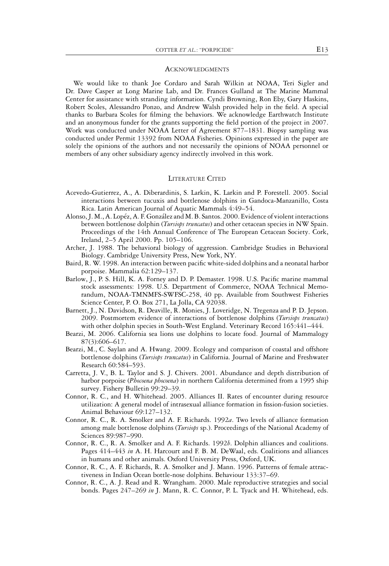#### ACKNOWLEDGMENTS

We would like to thank Joe Cordaro and Sarah Wilkin at NOAA, Teri Sigler and Dr. Dave Casper at Long Marine Lab, and Dr. Frances Gulland at The Marine Mammal Center for assistance with stranding information. Cyndi Browning, Ron Eby, Gary Haskins, Robert Scoles, Alessandro Ponzo, and Andrew Walsh provided help in the field. A special thanks to Barbara Scoles for filming the behaviors. We acknowledge Earthwatch Institute and an anonymous funder for the grants supporting the field portion of the project in 2007. Work was conducted under NOAA Letter of Agreement 877–1831. Biopsy sampling was conducted under Permit 13392 from NOAA Fisheries. Opinions expressed in the paper are solely the opinions of the authors and not necessarily the opinions of NOAA personnel or members of any other subsidiary agency indirectly involved in this work.

#### LITERATURE CITED

- Acevedo-Gutierrez, A., A. Diberardinis, S. Larkin, K. Larkin and P. Forestell. 2005. Social interactions between tucuxis and bottlenose dolphins in Gandoca-Manzanillo, Costa Rica. Latin American Journal of Aquatic Mammals 4:49–54.
- Alonso, J. M., A. Lopéz, A. F. González and M. B. Santos. 2000. Evidence of violent interactions between bottlenose dolphin (*Tursiops truncatus*) and other cetacean species in NW Spain. Proceedings of the 14th Annual Conference of The European Cetacean Society. Cork, Ireland, 2–5 April 2000. Pp. 105–106.
- Archer, J. 1988. The behavioral biology of aggression. Cambridge Studies in Behavioral Biology. Cambridge University Press, New York, NY.
- Baird, R. W. 1998. An interaction between pacific white-sided dolphins and a neonatal harbor porpoise. Mammalia 62:129–137.
- Barlow, J., P. S. Hill, K. A. Forney and D. P. Demaster. 1998. U.S. Pacific marine mammal stock assessments: 1998. U.S. Department of Commerce, NOAA Technical Memorandum, NOAA-TMNMFS-SWFSC-258, 40 pp. Available from Southwest Fisheries Science Center, P. O. Box 271, La Jolla, CA 92038.
- Barnett, J., N. Davidson, R. Deaville, R. Monies, J. Loveridge, N. Tregenza and P. D. Jepson. 2009. Postmortem evidence of interactions of bottlenose dolphins (*Tursiops truncatus*) with other dolphin species in South-West England. Veterinary Record 165:441–444.
- Bearzi, M. 2006. California sea lions use dolphins to locate food. Journal of Mammalogy 87(3):606–617.
- Bearzi, M., C. Saylan and A. Hwang. 2009. Ecology and comparison of coastal and offshore bottlenose dolphins (*Tursiops truncatus*) in California. Journal of Marine and Freshwater Research 60:584–593.
- Carretta, J. V., B. L. Taylor and S. J. Chivers. 2001. Abundance and depth distribution of harbor porpoise (*Phocoena phocoena*) in northern California determined from a 1995 ship survey. Fishery Bulletin 99:29–39.
- Connor, R. C., and H. Whitehead. 2005. Alliances II. Rates of encounter during resource utilization: A general model of intrasexual alliance formation in fission-fusion societies. Animal Behaviour 69:127–132.
- Connor, R. C., R. A. Smolker and A. F. Richards. 1992*a*. Two levels of alliance formation among male bottlenose dolphins (*Tursiops* sp.). Proceedings of the National Academy of Sciences 89:987–990.
- Connor, R. C., R. A. Smolker and A. F. Richards. 1992*b*. Dolphin alliances and coalitions. Pages 414–443 *in* A. H. Harcourt and F. B. M. DeWaal, eds. Coalitions and alliances in humans and other animals. Oxford University Press, Oxford, UK.
- Connor, R. C., A. F. Richards, R. A. Smolker and J. Mann. 1996. Patterns of female attractiveness in Indian Ocean bottle-nose dolphins. Behaviour 133:37–69.
- Connor, R. C., A. J. Read and R. Wrangham. 2000. Male reproductive strategies and social bonds. Pages 247–269 *in* J. Mann, R. C. Connor, P. L. Tyack and H. Whitehead, eds.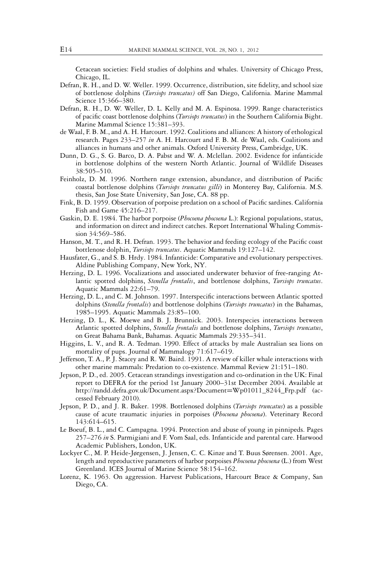Cetacean societies: Field studies of dolphins and whales. University of Chicago Press, Chicago, IL.

- Defran, R. H., and D. W. Weller. 1999. Occurrence, distribution, site fidelity, and school size of bottlenose dolphins (*Tursiops truncatus)* off San Diego, California. Marine Mammal Science 15:366–380.
- Defran, R. H., D. W. Weller, D. L. Kelly and M. A. Espinosa. 1999. Range characteristics of pacific coast bottlenose dolphins (*Tursiops truncatus*) in the Southern California Bight. Marine Mammal Science 15:381–393.
- de Waal, F. B. M., and A. H. Harcourt. 1992. Coalitions and alliances: A history of ethological research. Pages 233–257 *in* A. H. Harcourt and F. B. M. de Waal, eds. Coalitions and alliances in humans and other animals. Oxford University Press, Cambridge, UK.
- Dunn, D. G., S. G. Barco, D. A. Pabst and W. A. Mclellan. 2002. Evidence for infanticide in bottlenose dolphins of the western North Atlantic. Journal of Wildlife Diseases 38:505–510.
- Feinholz, D. M. 1996. Northern range extension, abundance, and distribution of Pacific coastal bottlenose dolphins (*Tursiops truncatus gilli*) in Monterey Bay, California. M.S. thesis, San Jose State University, San Jose, CA. 88 pp.
- Fink, B. D. 1959. Observation of porpoise predation on a school of Pacific sardines. California Fish and Game 45:216–217.
- Gaskin, D. E. 1984. The harbor porpoise (*Phocoena phocoena* L.): Regional populations, status, and information on direct and indirect catches. Report International Whaling Commission 34:569–586.
- Hanson, M. T., and R. H. Defran. 1993. The behavior and feeding ecology of the Pacific coast bottlenose dolphin, *Tursiops truncatus*. Aquatic Mammals 19:127–142.
- Hausfater, G., and S. B. Hrdy. 1984. Infanticide: Comparative and evolutionary perspectives. Aldine Publishing Company, New York, NY.
- Herzing, D. L. 1996. Vocalizations and associated underwater behavior of free-ranging Atlantic spotted dolphins, *Stenella frontalis*, and bottlenose dolphins, *Tursiops truncatus*. Aquatic Mammals 22:61–79.
- Herzing, D. L., and C. M. Johnson. 1997. Interspecific interactions between Atlantic spotted dolphins (*Stenella frontalis*) and bottlenose dolphins (*Tursiops truncatus*) in the Bahamas, 1985–1995. Aquatic Mammals 23:85–100.
- Herzing, D. L., K. Moewe and B. J. Brunnick. 2003. Interspecies interactions between Atlantic spotted dolphins, *Stenella frontalis* and bottlenose dolphins, *Tursiops truncatus*, on Great Bahama Bank, Bahamas. Aquatic Mammals 29:335–341.
- Higgins, L. V., and R. A. Tedman. 1990. Effect of attacks by male Australian sea lions on mortality of pups. Journal of Mammalogy 71:617–619.
- Jefferson, T. A., P. J. Stacey and R. W. Baird. 1991. A review of killer whale interactions with other marine mammals: Predation to co-existence. Mammal Review 21:151–180.
- Jepson, P. D., ed. 2005. Cetacean strandings investigation and co-ordination in the UK: Final report to DEFRA for the period 1st January 2000–31st December 2004. Available at http://randd.defra.gov.uk/Document.aspx?Document=Wp01011\_8244\_Frp.pdf (accessed February 2010).
- Jepson, P. D., and J. R. Baker. 1998. Bottlenosed dolphins (*Tursiops truncatus*) as a possible cause of acute traumatic injuries in porpoises (*Phocoena phocoena*). Veterinary Record 143:614–615.
- Le Boeuf, B. L., and C. Campagna. 1994. Protection and abuse of young in pinnipeds. Pages 257–276 *in* S. Parmigiani and F. Vom Saal, eds. Infanticide and parental care. Harwood Academic Publishers, London, UK.
- Lockyer C., M. P. Heide-Jørgensen, J. Jensen, C. C. Kinze and T. Buus Sørensen. 2001. Age, length and reproductive parameters of harbor porpoises *Phocoena phocoena* (L.) from West Greenland. ICES Journal of Marine Science 58:154–162.
- Lorenz, K. 1963. On aggression. Harvest Publications, Harcourt Brace & Company, San Diego, CA.